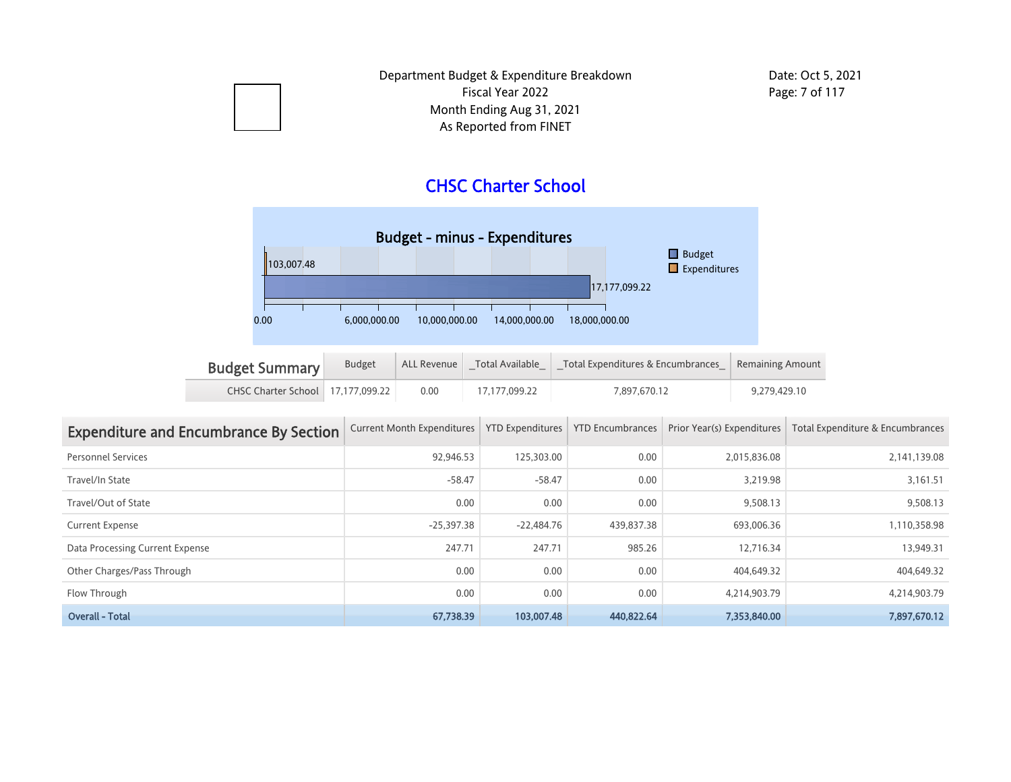## CHSC Charter School



| <b>Budget Summary</b>               | <b>Budget</b> | ALL Revenue | Total Available | Total Expenditures & Encumbrances   Remaining Amount |              |  |
|-------------------------------------|---------------|-------------|-----------------|------------------------------------------------------|--------------|--|
| CHSC Charter School   17.177.099.22 |               | 0.00        | 17.177.099.22   | 7.897.670.12                                         | 9.279.429.10 |  |

| <b>Expenditure and Encumbrance By Section</b> | <b>Current Month Expenditures</b> | <b>YTD Expenditures</b> | <b>YTD Encumbrances</b> | Prior Year(s) Expenditures | Total Expenditure & Encumbrances |
|-----------------------------------------------|-----------------------------------|-------------------------|-------------------------|----------------------------|----------------------------------|
| <b>Personnel Services</b>                     | 92.946.53                         | 125,303.00              | 0.00                    | 2.015.836.08               | 2,141,139.08                     |
| Travel/In State                               | $-58.47$                          | $-58.47$                | 0.00                    | 3,219.98                   | 3,161.51                         |
| Travel/Out of State                           | 0.00                              | 0.00                    | 0.00                    | 9.508.13                   | 9.508.13                         |
| <b>Current Expense</b>                        | $-25,397.38$                      | $-22.484.76$            | 439,837.38              | 693,006.36                 | 1,110,358.98                     |
| Data Processing Current Expense               | 247.71                            | 247.71                  | 985.26                  | 12.716.34                  | 13.949.31                        |
| Other Charges/Pass Through                    | 0.00                              | 0.00                    | 0.00                    | 404,649.32                 | 404,649.32                       |
| Flow Through                                  | 0.00                              | 0.00                    | 0.00                    | 4,214,903.79               | 4,214,903.79                     |
| <b>Overall - Total</b>                        | 67.738.39                         | 103,007.48              | 440,822.64              | 7.353.840.00               | 7,897,670.12                     |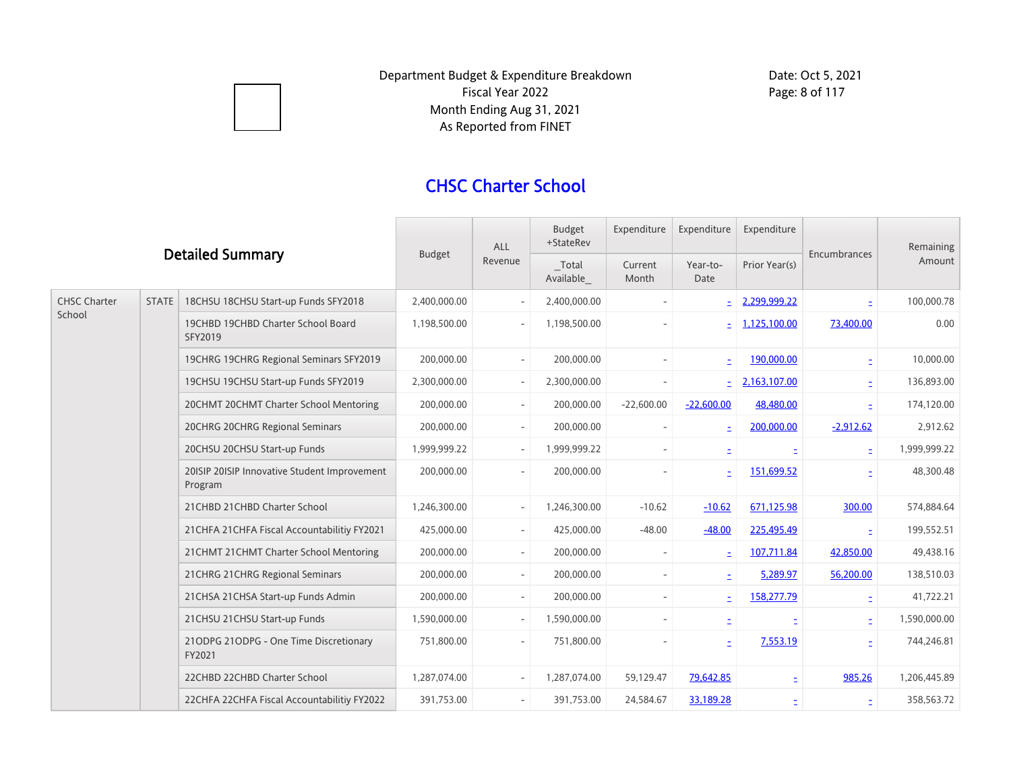

## CHSC Charter School

| <b>Detailed Summary</b>       |                                      | <b>Budget</b>                                           | <b>ALL</b><br>Revenue    | Budget<br>+StateRev      | Expenditure      | Expenditure              | Expenditure   | Encumbrances | Remaining<br>Amount      |              |
|-------------------------------|--------------------------------------|---------------------------------------------------------|--------------------------|--------------------------|------------------|--------------------------|---------------|--------------|--------------------------|--------------|
|                               |                                      |                                                         |                          | Total<br>Available       | Current<br>Month | Year-to-<br>Date         | Prior Year(s) |              |                          |              |
| <b>CHSC Charter</b><br>School | <b>STATE</b>                         | 18CHSU 18CHSU Start-up Funds SFY2018                    | 2,400,000.00             |                          | 2,400,000.00     |                          |               | 2,299,999.22 | $\overline{\phantom{a}}$ | 100,000.78   |
|                               |                                      | 19CHBD 19CHBD Charter School Board<br>SFY2019           | 1,198,500.00             |                          | 1,198,500.00     |                          |               | 1,125,100.00 | 73,400.00                | 0.00         |
|                               |                                      | 19CHRG 19CHRG Regional Seminars SFY2019                 | 200,000.00               |                          | 200,000.00       |                          |               | 190,000.00   |                          | 10,000.00    |
|                               |                                      | 19CHSU 19CHSU Start-up Funds SFY2019                    | 2,300,000.00             | $\overline{\phantom{a}}$ | 2,300,000.00     |                          |               | 2,163,107.00 |                          | 136,893.00   |
|                               |                                      | 20CHMT 20CHMT Charter School Mentoring                  | 200,000.00               | $ \,$                    | 200,000.00       | $-22,600.00$             | $-22,600.00$  | 48,480.00    | ÷.                       | 174,120.00   |
|                               |                                      | 20CHRG 20CHRG Regional Seminars                         | 200,000.00               | $\overline{\phantom{a}}$ | 200,000.00       |                          |               | 200,000.00   | $-2,912.62$              | 2,912.62     |
|                               |                                      | 20CHSU 20CHSU Start-up Funds                            | 1,999,999.22             | $ \,$                    | 1,999,999.22     |                          |               |              | Ė                        | 1,999,999.22 |
|                               |                                      | 20ISIP 20ISIP Innovative Student Improvement<br>Program | 200,000.00               |                          | 200,000.00       |                          |               | 151,699.52   |                          | 48,300.48    |
|                               |                                      | 21 CHBD 21 CHBD Charter School                          | 1,246,300.00             |                          | 1,246,300.00     | $-10.62$                 | $-10.62$      | 671,125.98   | 300.00                   | 574,884.64   |
|                               |                                      | 21 CHFA 21 CHFA Fiscal Accountabilitiy FY2021           | 425,000.00               | $-$                      | 425,000.00       | $-48.00$                 | $-48.00$      | 225,495.49   | ÷.                       | 199,552.51   |
|                               |                                      | 21 CHMT 21 CHMT Charter School Mentoring                | 200,000.00               | $\overline{\phantom{a}}$ | 200,000.00       | $\overline{\phantom{a}}$ |               | 107,711.84   | 42,850.00                | 49,438.16    |
|                               | 21 CHRG 21 CHRG Regional Seminars    | 200,000.00                                              | $\overline{\phantom{a}}$ | 200,000.00               |                  | E.                       | 5,289.97      | 56,200.00    | 138,510.03               |              |
|                               | 21 CHSA 21 CHSA Start-up Funds Admin | 200,000.00                                              | $\overline{\phantom{a}}$ | 200,000.00               |                  |                          | 158,277.79    | È.           | 41,722.21                |              |
|                               | 21 CHSU 21 CHSU Start-up Funds       | 1,590,000.00                                            | $-$                      | 1,590,000.00             |                  |                          |               |              | 1,590,000.00             |              |
|                               |                                      | 21ODPG 21ODPG - One Time Discretionary<br>FY2021        | 751,800.00               | $\overline{\phantom{a}}$ | 751,800.00       | $\overline{\phantom{0}}$ | ۰             | 7,553.19     |                          | 744,246.81   |
|                               |                                      | 22CHBD 22CHBD Charter School                            | 1,287,074.00             |                          | 1,287,074.00     | 59,129.47                | 79,642.85     | ÷.           | 985.26                   | 1,206,445.89 |
|                               |                                      | 22CHFA 22CHFA Fiscal Accountabilitiy FY2022             | 391,753.00               | $\overline{\phantom{a}}$ | 391,753.00       | 24,584.67                | 33,189.28     |              | Ξ                        | 358,563.72   |